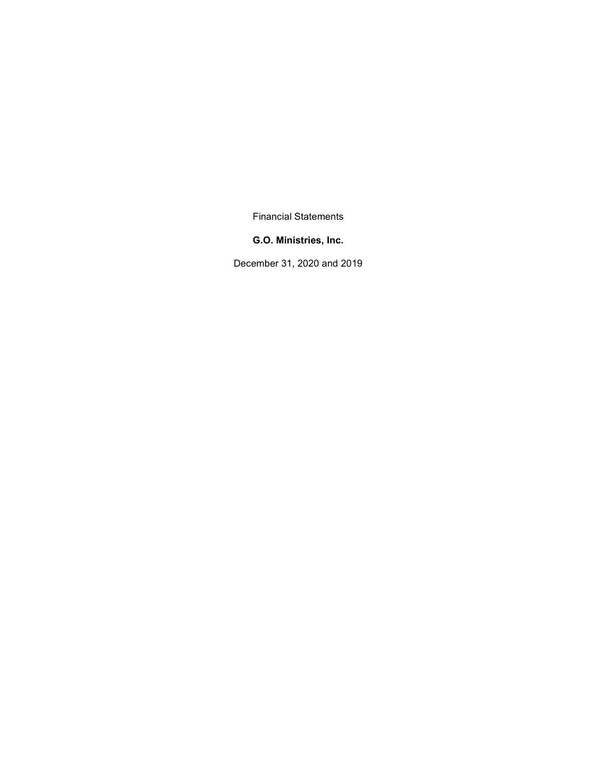Financial Statements

#### G.O. Ministries, Inc.

December 31, 2020 and 2019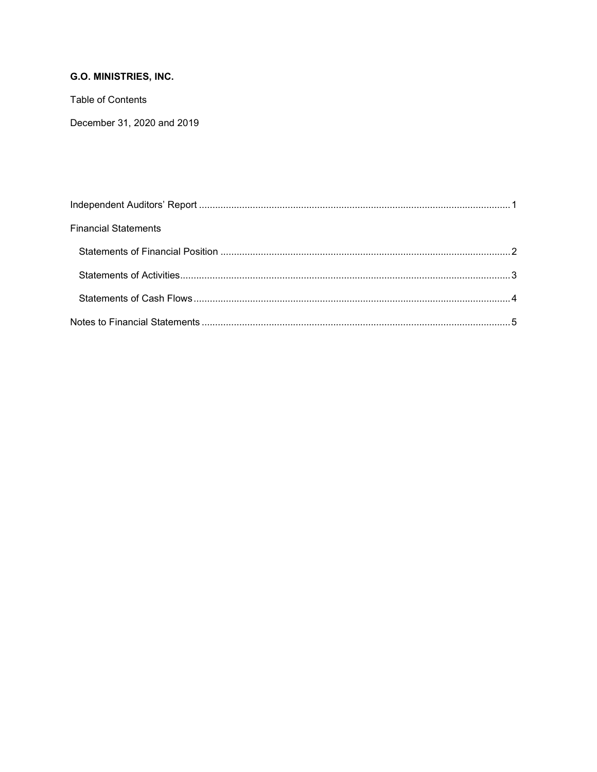Table of Contents

December 31, 2020 and 2019

| <b>Financial Statements</b> |  |
|-----------------------------|--|
|                             |  |
|                             |  |
|                             |  |
|                             |  |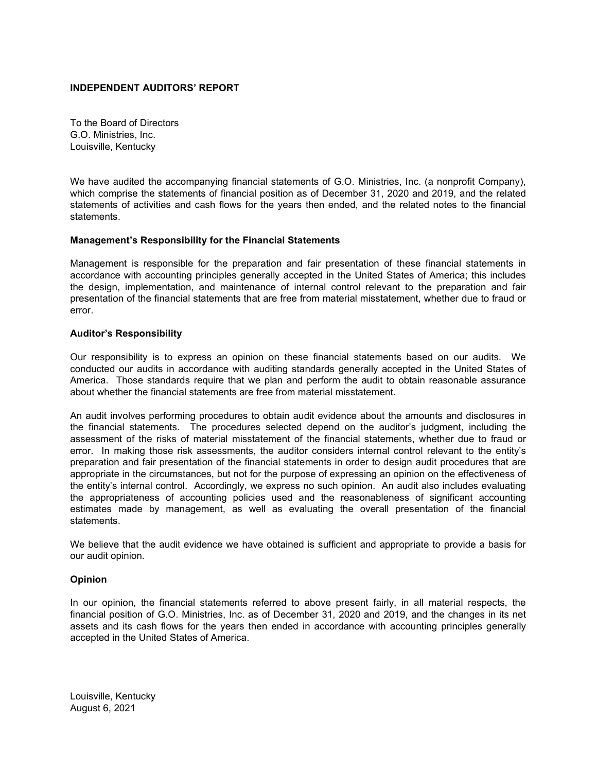#### INDEPENDENT AUDITORS' REPORT

To the Board of Directors G.O. Ministries, Inc. Louisville, Kentucky

We have audited the accompanying financial statements of G.O. Ministries, Inc. (a nonprofit Company), which comprise the statements of financial position as of December 31, 2020 and 2019, and the related statements of activities and cash flows for the years then ended, and the related notes to the financial statements.

#### Management's Responsibility for the Financial Statements

Management is responsible for the preparation and fair presentation of these financial statements in accordance with accounting principles generally accepted in the United States of America; this includes the design, implementation, and maintenance of internal control relevant to the preparation and fair presentation of the financial statements that are free from material misstatement, whether due to fraud or error.

#### Auditor's Responsibility

Our responsibility is to express an opinion on these financial statements based on our audits. We conducted our audits in accordance with auditing standards generally accepted in the United States of America. Those standards require that we plan and perform the audit to obtain reasonable assurance about whether the financial statements are free from material misstatement.

An audit involves performing procedures to obtain audit evidence about the amounts and disclosures in the financial statements. The procedures selected depend on the auditor's judgment, including the assessment of the risks of material misstatement of the financial statements, whether due to fraud or error. In making those risk assessments, the auditor considers internal control relevant to the entity's preparation and fair presentation of the financial statements in order to design audit procedures that are appropriate in the circumstances, but not for the purpose of expressing an opinion on the effectiveness of the entity's internal control. Accordingly, we express no such opinion. An audit also includes evaluating the appropriateness of accounting policies used and the reasonableness of significant accounting estimates made by management, as well as evaluating the overall presentation of the financial statements.

We believe that the audit evidence we have obtained is sufficient and appropriate to provide a basis for our audit opinion.

## Opinion

In our opinion, the financial statements referred to above present fairly, in all material respects, the financial position of G.O. Ministries, Inc. as of December 31, 2020 and 2019, and the changes in its net assets and its cash flows for the years then ended in accordance with accounting principles generally accepted in the United States of America.

Louisville, Kentucky August 6, 2021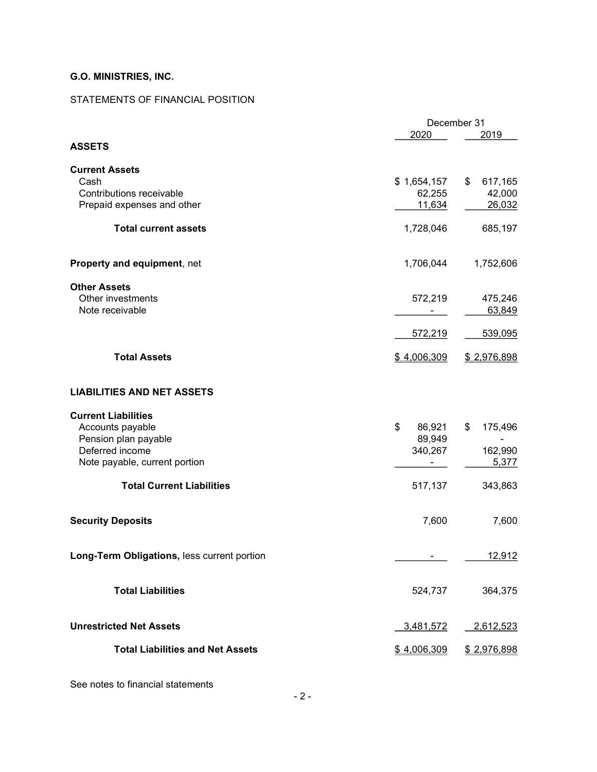## STATEMENTS OF FINANCIAL POSITION

| 2020<br>2019<br><b>ASSETS</b><br><b>Current Assets</b><br>Cash<br>\$1,654,157<br>\$<br>617,165<br>Contributions receivable<br>42,000<br>62,255<br>Prepaid expenses and other<br>26,032<br>11,634<br><b>Total current assets</b><br>1,728,046<br>Property and equipment, net<br>1,706,044<br><b>Other Assets</b><br>Other investments<br>572,219<br>475,246<br>Note receivable<br>63,849<br>572,219<br><b>Total Assets</b><br>\$4,006,309<br>\$2,976,898<br><b>LIABILITIES AND NET ASSETS</b><br><b>Current Liabilities</b><br>\$<br>Accounts payable<br>86,921<br>\$<br>Pension plan payable<br>89,949<br>Deferred income<br>340,267<br>Note payable, current portion<br><b>Total Current Liabilities</b><br>517,137<br><b>Security Deposits</b><br>7,600<br>Long-Term Obligations, less current portion<br>12,912 | December 31 |             |
|--------------------------------------------------------------------------------------------------------------------------------------------------------------------------------------------------------------------------------------------------------------------------------------------------------------------------------------------------------------------------------------------------------------------------------------------------------------------------------------------------------------------------------------------------------------------------------------------------------------------------------------------------------------------------------------------------------------------------------------------------------------------------------------------------------------------|-------------|-------------|
|                                                                                                                                                                                                                                                                                                                                                                                                                                                                                                                                                                                                                                                                                                                                                                                                                    |             |             |
|                                                                                                                                                                                                                                                                                                                                                                                                                                                                                                                                                                                                                                                                                                                                                                                                                    |             |             |
|                                                                                                                                                                                                                                                                                                                                                                                                                                                                                                                                                                                                                                                                                                                                                                                                                    |             |             |
|                                                                                                                                                                                                                                                                                                                                                                                                                                                                                                                                                                                                                                                                                                                                                                                                                    |             |             |
|                                                                                                                                                                                                                                                                                                                                                                                                                                                                                                                                                                                                                                                                                                                                                                                                                    |             |             |
|                                                                                                                                                                                                                                                                                                                                                                                                                                                                                                                                                                                                                                                                                                                                                                                                                    |             |             |
|                                                                                                                                                                                                                                                                                                                                                                                                                                                                                                                                                                                                                                                                                                                                                                                                                    |             |             |
|                                                                                                                                                                                                                                                                                                                                                                                                                                                                                                                                                                                                                                                                                                                                                                                                                    |             | 685,197     |
|                                                                                                                                                                                                                                                                                                                                                                                                                                                                                                                                                                                                                                                                                                                                                                                                                    |             | 1,752,606   |
|                                                                                                                                                                                                                                                                                                                                                                                                                                                                                                                                                                                                                                                                                                                                                                                                                    |             |             |
|                                                                                                                                                                                                                                                                                                                                                                                                                                                                                                                                                                                                                                                                                                                                                                                                                    |             |             |
|                                                                                                                                                                                                                                                                                                                                                                                                                                                                                                                                                                                                                                                                                                                                                                                                                    |             |             |
|                                                                                                                                                                                                                                                                                                                                                                                                                                                                                                                                                                                                                                                                                                                                                                                                                    |             |             |
|                                                                                                                                                                                                                                                                                                                                                                                                                                                                                                                                                                                                                                                                                                                                                                                                                    |             | 539,095     |
|                                                                                                                                                                                                                                                                                                                                                                                                                                                                                                                                                                                                                                                                                                                                                                                                                    |             |             |
|                                                                                                                                                                                                                                                                                                                                                                                                                                                                                                                                                                                                                                                                                                                                                                                                                    |             |             |
|                                                                                                                                                                                                                                                                                                                                                                                                                                                                                                                                                                                                                                                                                                                                                                                                                    |             |             |
|                                                                                                                                                                                                                                                                                                                                                                                                                                                                                                                                                                                                                                                                                                                                                                                                                    |             |             |
|                                                                                                                                                                                                                                                                                                                                                                                                                                                                                                                                                                                                                                                                                                                                                                                                                    |             | 175,496     |
|                                                                                                                                                                                                                                                                                                                                                                                                                                                                                                                                                                                                                                                                                                                                                                                                                    |             |             |
|                                                                                                                                                                                                                                                                                                                                                                                                                                                                                                                                                                                                                                                                                                                                                                                                                    |             | 162,990     |
|                                                                                                                                                                                                                                                                                                                                                                                                                                                                                                                                                                                                                                                                                                                                                                                                                    |             | 5,377       |
|                                                                                                                                                                                                                                                                                                                                                                                                                                                                                                                                                                                                                                                                                                                                                                                                                    |             |             |
|                                                                                                                                                                                                                                                                                                                                                                                                                                                                                                                                                                                                                                                                                                                                                                                                                    |             | 343,863     |
|                                                                                                                                                                                                                                                                                                                                                                                                                                                                                                                                                                                                                                                                                                                                                                                                                    |             |             |
|                                                                                                                                                                                                                                                                                                                                                                                                                                                                                                                                                                                                                                                                                                                                                                                                                    |             | 7,600       |
|                                                                                                                                                                                                                                                                                                                                                                                                                                                                                                                                                                                                                                                                                                                                                                                                                    |             |             |
|                                                                                                                                                                                                                                                                                                                                                                                                                                                                                                                                                                                                                                                                                                                                                                                                                    |             |             |
| <b>Total Liabilities</b><br>524,737                                                                                                                                                                                                                                                                                                                                                                                                                                                                                                                                                                                                                                                                                                                                                                                |             | 364,375     |
|                                                                                                                                                                                                                                                                                                                                                                                                                                                                                                                                                                                                                                                                                                                                                                                                                    |             |             |
| <b>Unrestricted Net Assets</b><br>3,481,572                                                                                                                                                                                                                                                                                                                                                                                                                                                                                                                                                                                                                                                                                                                                                                        |             | 2,612,523   |
| <b>Total Liabilities and Net Assets</b><br>\$4,006,309                                                                                                                                                                                                                                                                                                                                                                                                                                                                                                                                                                                                                                                                                                                                                             |             | \$2,976,898 |

See notes to financial statements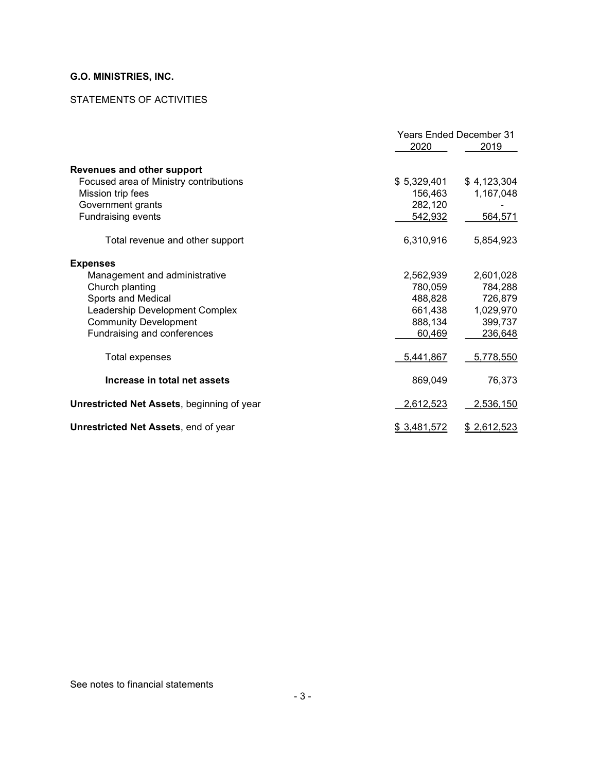## STATEMENTS OF ACTIVITIES

|                                                   | <b>Years Ended December 31</b><br>2020<br>2019 |             |
|---------------------------------------------------|------------------------------------------------|-------------|
| <b>Revenues and other support</b>                 |                                                |             |
| Focused area of Ministry contributions            | \$5,329,401                                    | \$4,123,304 |
| Mission trip fees                                 | 156,463                                        | 1,167,048   |
| Government grants                                 | 282,120                                        |             |
| <b>Fundraising events</b>                         | 542,932                                        | 564,571     |
| Total revenue and other support                   | 6,310,916                                      | 5,854,923   |
| <b>Expenses</b>                                   |                                                |             |
| Management and administrative                     | 2,562,939                                      | 2,601,028   |
| Church planting                                   | 780,059                                        | 784,288     |
| <b>Sports and Medical</b>                         | 488,828                                        | 726,879     |
| Leadership Development Complex                    | 661,438                                        | 1,029,970   |
| <b>Community Development</b>                      | 888,134                                        | 399,737     |
| Fundraising and conferences                       | 60,469                                         | 236,648     |
| Total expenses                                    | 5,441,867                                      | 5,778,550   |
| Increase in total net assets                      | 869,049                                        | 76,373      |
| <b>Unrestricted Net Assets, beginning of year</b> | 2,612,523                                      | 2,536,150   |
| <b>Unrestricted Net Assets, end of year</b>       | \$3,481,572                                    | \$2,612,523 |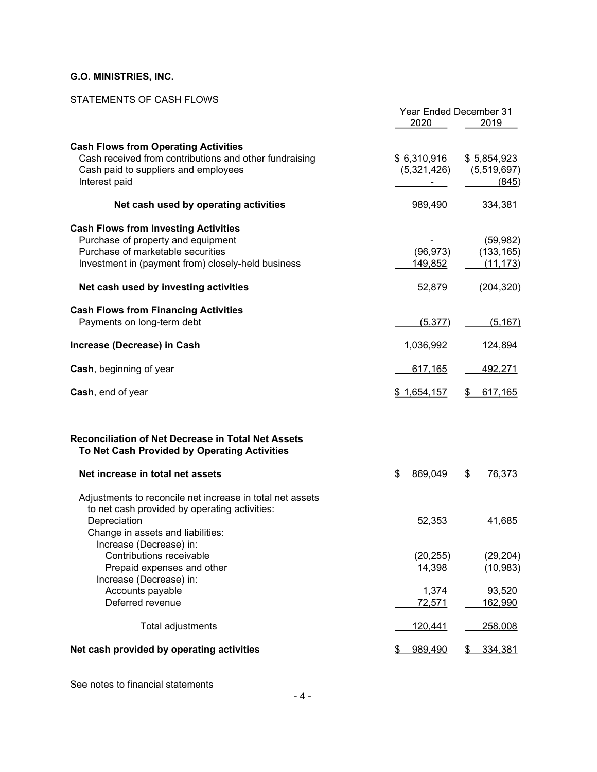### STATEMENTS OF CASH FLOWS

|                                                                                                           | Year Ended December 31 |               |
|-----------------------------------------------------------------------------------------------------------|------------------------|---------------|
|                                                                                                           | 2020                   | 2019          |
|                                                                                                           |                        |               |
| <b>Cash Flows from Operating Activities</b><br>Cash received from contributions and other fundraising     |                        |               |
|                                                                                                           | \$6,310,916            | \$5,854,923   |
| Cash paid to suppliers and employees                                                                      | (5,321,426)            | (5,519,697)   |
| Interest paid                                                                                             |                        | (845)         |
| Net cash used by operating activities                                                                     | 989,490                | 334,381       |
| <b>Cash Flows from Investing Activities</b>                                                               |                        |               |
| Purchase of property and equipment                                                                        |                        | (59, 982)     |
| Purchase of marketable securities                                                                         | (96, 973)              | (133, 165)    |
| Investment in (payment from) closely-held business                                                        | 149,852                | (11, 173)     |
| Net cash used by investing activities                                                                     | 52,879                 | (204, 320)    |
| <b>Cash Flows from Financing Activities</b>                                                               |                        |               |
| Payments on long-term debt                                                                                | (5, 377)               | (5, 167)      |
|                                                                                                           |                        |               |
| Increase (Decrease) in Cash                                                                               | 1,036,992              | 124,894       |
| Cash, beginning of year                                                                                   | 617,165                | 492,271       |
| Cash, end of year                                                                                         | \$1,654,157            | 617,165<br>S. |
| <b>Reconciliation of Net Decrease in Total Net Assets</b><br>To Net Cash Provided by Operating Activities |                        |               |
| Net increase in total net assets                                                                          | \$<br>869,049          | 76,373<br>\$  |
| Adjustments to reconcile net increase in total net assets                                                 |                        |               |
| to net cash provided by operating activities:                                                             |                        |               |
| Depreciation                                                                                              | 52,353                 | 41,685        |
| Change in assets and liabilities:                                                                         |                        |               |
| Increase (Decrease) in:                                                                                   |                        |               |
| Contributions receivable                                                                                  | (20, 255)              | (29, 204)     |
| Prepaid expenses and other                                                                                | 14,398                 | (10, 983)     |
| Increase (Decrease) in:                                                                                   |                        |               |
| Accounts payable                                                                                          | 1,374                  | 93,520        |
| Deferred revenue                                                                                          | 72,571                 | 162,990       |
| Total adjustments                                                                                         | 120,441                | 258,008       |
| Net cash provided by operating activities                                                                 | 989,490                | 334,381       |

See notes to financial statements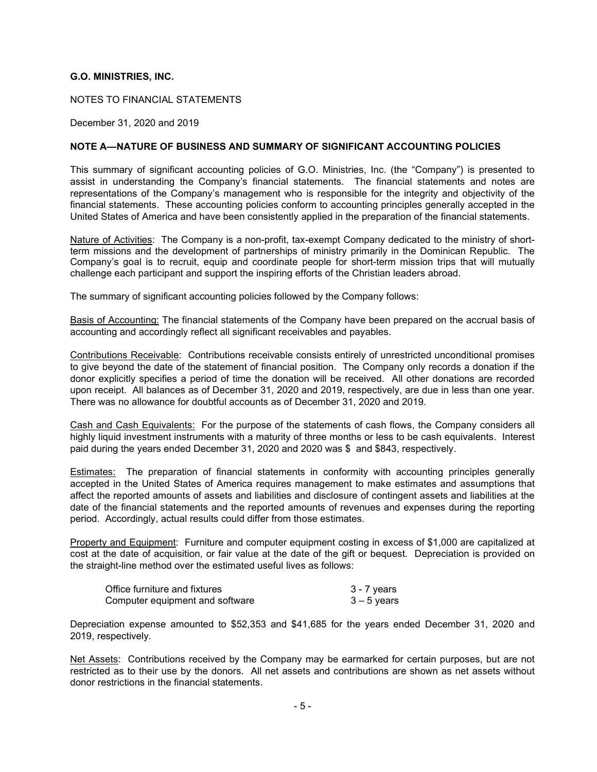NOTES TO FINANCIAL STATEMENTS

December 31, 2020 and 2019

#### NOTE A—NATURE OF BUSINESS AND SUMMARY OF SIGNIFICANT ACCOUNTING POLICIES

This summary of significant accounting policies of G.O. Ministries, Inc. (the "Company") is presented to assist in understanding the Company's financial statements. The financial statements and notes are representations of the Company's management who is responsible for the integrity and objectivity of the financial statements. These accounting policies conform to accounting principles generally accepted in the United States of America and have been consistently applied in the preparation of the financial statements.

Nature of Activities: The Company is a non-profit, tax-exempt Company dedicated to the ministry of shortterm missions and the development of partnerships of ministry primarily in the Dominican Republic. The Company's goal is to recruit, equip and coordinate people for short-term mission trips that will mutually challenge each participant and support the inspiring efforts of the Christian leaders abroad.

The summary of significant accounting policies followed by the Company follows:

Basis of Accounting: The financial statements of the Company have been prepared on the accrual basis of accounting and accordingly reflect all significant receivables and payables.

Contributions Receivable: Contributions receivable consists entirely of unrestricted unconditional promises to give beyond the date of the statement of financial position. The Company only records a donation if the donor explicitly specifies a period of time the donation will be received. All other donations are recorded upon receipt. All balances as of December 31, 2020 and 2019, respectively, are due in less than one year. There was no allowance for doubtful accounts as of December 31, 2020 and 2019.

Cash and Cash Equivalents: For the purpose of the statements of cash flows, the Company considers all highly liquid investment instruments with a maturity of three months or less to be cash equivalents. Interest paid during the years ended December 31, 2020 and 2020 was \$ and \$843, respectively.

Estimates: The preparation of financial statements in conformity with accounting principles generally accepted in the United States of America requires management to make estimates and assumptions that affect the reported amounts of assets and liabilities and disclosure of contingent assets and liabilities at the date of the financial statements and the reported amounts of revenues and expenses during the reporting period. Accordingly, actual results could differ from those estimates.

Property and Equipment: Furniture and computer equipment costing in excess of \$1,000 are capitalized at cost at the date of acquisition, or fair value at the date of the gift or bequest. Depreciation is provided on the straight-line method over the estimated useful lives as follows:

| Office furniture and fixtures   | 3 - 7 years |
|---------------------------------|-------------|
| Computer equipment and software | 3 – 5 vears |

Depreciation expense amounted to \$52,353 and \$41,685 for the years ended December 31, 2020 and 2019, respectively.

Net Assets: Contributions received by the Company may be earmarked for certain purposes, but are not restricted as to their use by the donors. All net assets and contributions are shown as net assets without donor restrictions in the financial statements.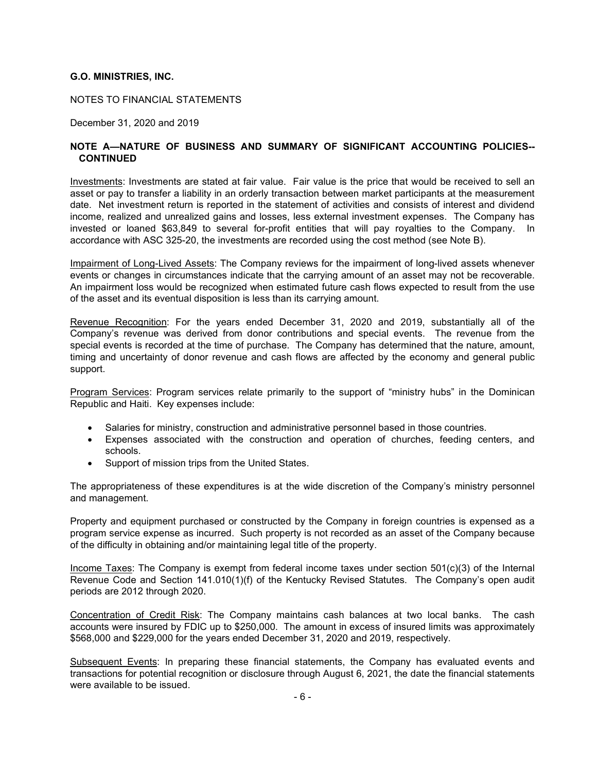NOTES TO FINANCIAL STATEMENTS

December 31, 2020 and 2019

#### NOTE A—NATURE OF BUSINESS AND SUMMARY OF SIGNIFICANT ACCOUNTING POLICIES-- **CONTINUED**

Investments: Investments are stated at fair value. Fair value is the price that would be received to sell an asset or pay to transfer a liability in an orderly transaction between market participants at the measurement date. Net investment return is reported in the statement of activities and consists of interest and dividend income, realized and unrealized gains and losses, less external investment expenses. The Company has invested or loaned \$63,849 to several for-profit entities that will pay royalties to the Company. In accordance with ASC 325-20, the investments are recorded using the cost method (see Note B).

Impairment of Long-Lived Assets: The Company reviews for the impairment of long-lived assets whenever events or changes in circumstances indicate that the carrying amount of an asset may not be recoverable. An impairment loss would be recognized when estimated future cash flows expected to result from the use of the asset and its eventual disposition is less than its carrying amount.

Revenue Recognition: For the years ended December 31, 2020 and 2019, substantially all of the Company's revenue was derived from donor contributions and special events. The revenue from the special events is recorded at the time of purchase. The Company has determined that the nature, amount, timing and uncertainty of donor revenue and cash flows are affected by the economy and general public support.

Program Services: Program services relate primarily to the support of "ministry hubs" in the Dominican Republic and Haiti. Key expenses include:

- Salaries for ministry, construction and administrative personnel based in those countries.
- Expenses associated with the construction and operation of churches, feeding centers, and schools.
- Support of mission trips from the United States.

The appropriateness of these expenditures is at the wide discretion of the Company's ministry personnel and management.

Property and equipment purchased or constructed by the Company in foreign countries is expensed as a program service expense as incurred. Such property is not recorded as an asset of the Company because of the difficulty in obtaining and/or maintaining legal title of the property.

Income Taxes: The Company is exempt from federal income taxes under section  $501(c)(3)$  of the Internal Revenue Code and Section 141.010(1)(f) of the Kentucky Revised Statutes. The Company's open audit periods are 2012 through 2020.

Concentration of Credit Risk: The Company maintains cash balances at two local banks. The cash accounts were insured by FDIC up to \$250,000. The amount in excess of insured limits was approximately \$568,000 and \$229,000 for the years ended December 31, 2020 and 2019, respectively.

Subsequent Events: In preparing these financial statements, the Company has evaluated events and transactions for potential recognition or disclosure through August 6, 2021, the date the financial statements were available to be issued.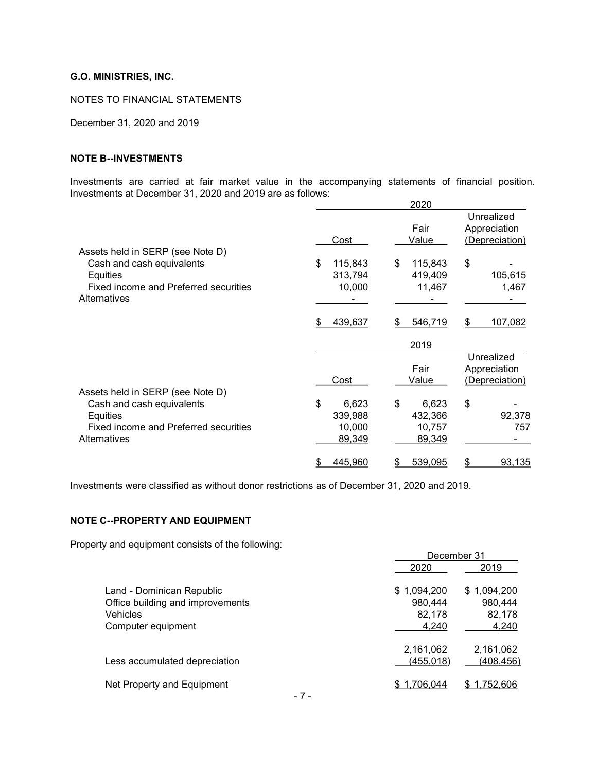NOTES TO FINANCIAL STATEMENTS

December 31, 2020 and 2019

#### NOTE B--INVESTMENTS

Investments are carried at fair market value in the accompanying statements of financial position. Investments at December 31, 2020 and 2019 are as follows:

|               | 2020                    |                              |
|---------------|-------------------------|------------------------------|
|               |                         | Unrealized                   |
|               | Fair                    | Appreciation                 |
| Cost          | Value                   | (Depreciation)               |
|               |                         |                              |
| \$<br>115,843 | \$                      | \$                           |
| 313,794       | 419,409                 | 105,615                      |
|               |                         | 1,467                        |
|               |                         |                              |
|               |                         |                              |
| 439,637       | 546,719<br>\$           | 107,082<br>\$                |
|               | 2019                    |                              |
|               |                         | Unrealized                   |
|               | Fair                    | Appreciation                 |
| Cost          | Value                   | (Depreciation)               |
|               |                         |                              |
| \$<br>6,623   | \$<br>6,623             | \$                           |
| 339,988       | 432,366                 | 92,378                       |
| 10,000        | 10,757                  | 757                          |
| 89,349        | 89,349                  |                              |
|               | \$                      | 93,135<br>\$                 |
|               | 10,000<br>445,960<br>\$ | 115,843<br>11,467<br>539,095 |

Investments were classified as without donor restrictions as of December 31, 2020 and 2019.

## NOTE C--PROPERTY AND EQUIPMENT

Property and equipment consists of the following:

|                                  |             | December 31 |  |
|----------------------------------|-------------|-------------|--|
|                                  | 2020        | 2019        |  |
| Land - Dominican Republic        | \$1,094,200 | \$1,094,200 |  |
| Office building and improvements | 980,444     | 980,444     |  |
| Vehicles                         | 82.178      | 82,178      |  |
| Computer equipment               | 4,240       | 4,240       |  |
|                                  | 2,161,062   | 2,161,062   |  |
| Less accumulated depreciation    | (455, 018)  | (408, 456)  |  |
| Net Property and Equipment       | \$1,706,044 | \$1,752,606 |  |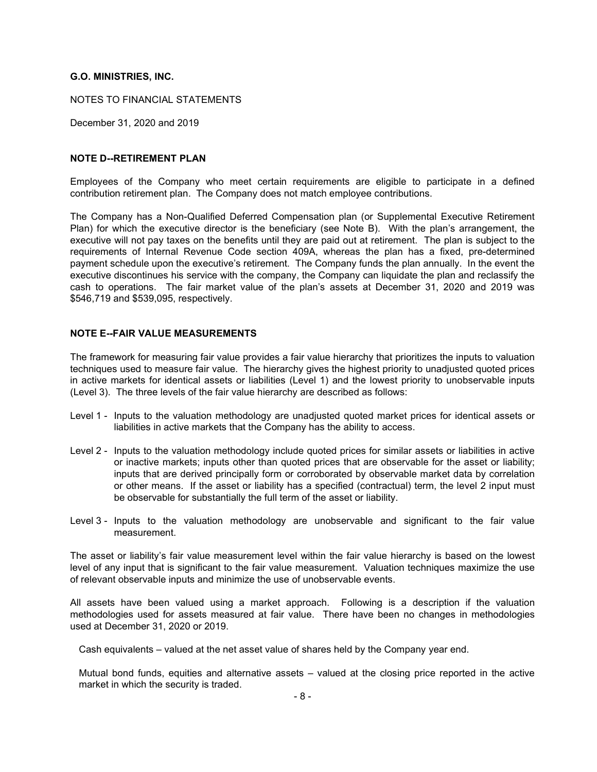NOTES TO FINANCIAL STATEMENTS

December 31, 2020 and 2019

#### NOTE D--RETIREMENT PLAN

Employees of the Company who meet certain requirements are eligible to participate in a defined contribution retirement plan. The Company does not match employee contributions.

The Company has a Non-Qualified Deferred Compensation plan (or Supplemental Executive Retirement Plan) for which the executive director is the beneficiary (see Note B). With the plan's arrangement, the executive will not pay taxes on the benefits until they are paid out at retirement. The plan is subject to the requirements of Internal Revenue Code section 409A, whereas the plan has a fixed, pre-determined payment schedule upon the executive's retirement. The Company funds the plan annually. In the event the executive discontinues his service with the company, the Company can liquidate the plan and reclassify the cash to operations. The fair market value of the plan's assets at December 31, 2020 and 2019 was \$546,719 and \$539,095, respectively.

#### NOTE E--FAIR VALUE MEASUREMENTS

The framework for measuring fair value provides a fair value hierarchy that prioritizes the inputs to valuation techniques used to measure fair value. The hierarchy gives the highest priority to unadjusted quoted prices in active markets for identical assets or liabilities (Level 1) and the lowest priority to unobservable inputs (Level 3). The three levels of the fair value hierarchy are described as follows:

- Level 1 Inputs to the valuation methodology are unadjusted quoted market prices for identical assets or liabilities in active markets that the Company has the ability to access.
- Level 2 Inputs to the valuation methodology include quoted prices for similar assets or liabilities in active or inactive markets; inputs other than quoted prices that are observable for the asset or liability; inputs that are derived principally form or corroborated by observable market data by correlation or other means. If the asset or liability has a specified (contractual) term, the level 2 input must be observable for substantially the full term of the asset or liability.
- Level 3 Inputs to the valuation methodology are unobservable and significant to the fair value measurement.

The asset or liability's fair value measurement level within the fair value hierarchy is based on the lowest level of any input that is significant to the fair value measurement. Valuation techniques maximize the use of relevant observable inputs and minimize the use of unobservable events.

All assets have been valued using a market approach. Following is a description if the valuation methodologies used for assets measured at fair value. There have been no changes in methodologies used at December 31, 2020 or 2019.

Cash equivalents – valued at the net asset value of shares held by the Company year end.

Mutual bond funds, equities and alternative assets – valued at the closing price reported in the active market in which the security is traded.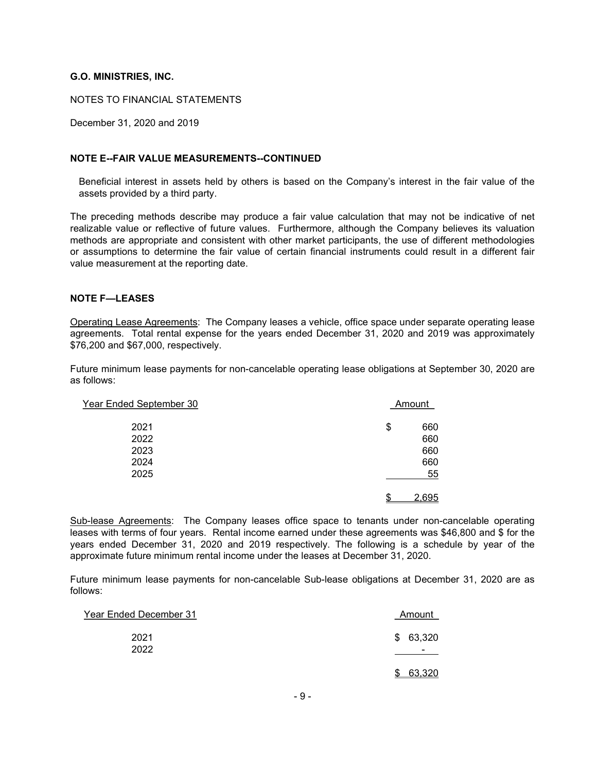NOTES TO FINANCIAL STATEMENTS

December 31, 2020 and 2019

#### NOTE E--FAIR VALUE MEASUREMENTS--CONTINUED

Beneficial interest in assets held by others is based on the Company's interest in the fair value of the assets provided by a third party.

The preceding methods describe may produce a fair value calculation that may not be indicative of net realizable value or reflective of future values. Furthermore, although the Company believes its valuation methods are appropriate and consistent with other market participants, the use of different methodologies or assumptions to determine the fair value of certain financial instruments could result in a different fair value measurement at the reporting date.

#### NOTE F—LEASES

Operating Lease Agreements: The Company leases a vehicle, office space under separate operating lease agreements. Total rental expense for the years ended December 31, 2020 and 2019 was approximately \$76,200 and \$67,000, respectively.

Future minimum lease payments for non-cancelable operating lease obligations at September 30, 2020 are as follows:

| Year Ended September 30 | Amount      |
|-------------------------|-------------|
| 2021                    | 660<br>\$   |
| 2022                    | 660         |
| 2023                    | 660         |
| 2024                    | 660         |
| 2025                    | 55          |
|                         | \$<br>2,695 |

Sub-lease Agreements: The Company leases office space to tenants under non-cancelable operating leases with terms of four years. Rental income earned under these agreements was \$46,800 and \$ for the years ended December 31, 2020 and 2019 respectively. The following is a schedule by year of the approximate future minimum rental income under the leases at December 31, 2020.

Future minimum lease payments for non-cancelable Sub-lease obligations at December 31, 2020 are as follows:

| Year Ended December 31 | Amount   |
|------------------------|----------|
| 2021                   | \$63,320 |
| 2022                   | -        |
|                        | 63,320   |